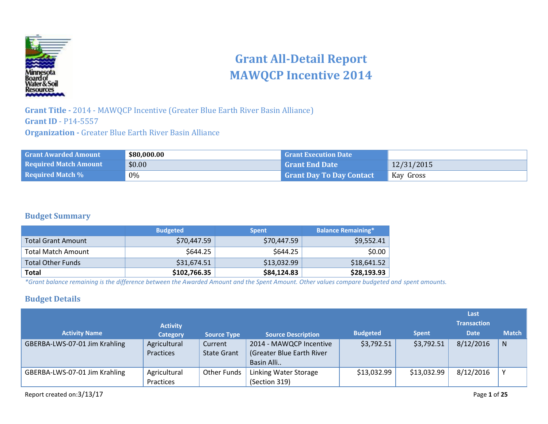

# **Grant All-Detail Report MAWQCP Incentive 2014**

**Grant Title -** 2014 - MAWQCP Incentive (Greater Blue Earth River Basin Alliance) **Grant ID** - P14-5557 **Organization -** Greater Blue Earth River Basin Alliance

| <b>Grant Awarded Amount</b>  | \$80,000.00 | <b>Grant Execution Date</b>     |            |
|------------------------------|-------------|---------------------------------|------------|
| <b>Required Match Amount</b> | \$0.00      | <b>Grant End Date</b>           | 12/31/2015 |
| <b>Required Match %</b>      | 0%          | <b>Grant Day To Day Contact</b> | Kay Gross  |

#### **Budget Summary**

|                           | <b>Budgeted</b> | <b>Spent</b> | <b>Balance Remaining*</b> |
|---------------------------|-----------------|--------------|---------------------------|
| <b>Total Grant Amount</b> | \$70,447.59     | \$70,447.59  | \$9,552.41                |
| <b>Total Match Amount</b> | \$644.25        | \$644.25     | \$0.00                    |
| <b>Total Other Funds</b>  | \$31,674.51     | \$13,032.99  | \$18,641.52               |
| Total                     | \$102,766.35    | \$84,124.83  | \$28,193.93               |

*\*Grant balance remaining is the difference between the Awarded Amount and the Spent Amount. Other values compare budgeted and spent amounts.*

#### **Budget Details**

|                               |                 |                    |                           |                 |              | Last               |              |
|-------------------------------|-----------------|--------------------|---------------------------|-----------------|--------------|--------------------|--------------|
|                               | <b>Activity</b> |                    |                           |                 |              | <b>Transaction</b> |              |
| <b>Activity Name</b>          | <b>Category</b> | <b>Source Type</b> | <b>Source Description</b> | <b>Budgeted</b> | <b>Spent</b> | <b>Date</b>        | <b>Match</b> |
| GBERBA-LWS-07-01 Jim Krahling | Agricultural    | Current            | 2014 - MAWQCP Incentive   | \$3,792.51      | \$3,792.51   | 8/12/2016          | N            |
|                               | Practices       | <b>State Grant</b> | (Greater Blue Earth River |                 |              |                    |              |
|                               |                 |                    | Basin Alli                |                 |              |                    |              |
| GBERBA-LWS-07-01 Jim Krahling | Agricultural    | Other Funds        | Linking Water Storage     | \$13,032.99     | \$13,032.99  | 8/12/2016          | $\checkmark$ |
|                               | Practices       |                    | (Section 319)             |                 |              |                    |              |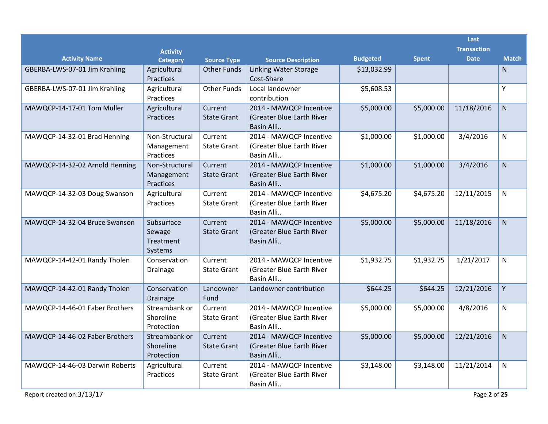|                                           |                                              |                               |                                                                    |                 |              | Last                              |              |
|-------------------------------------------|----------------------------------------------|-------------------------------|--------------------------------------------------------------------|-----------------|--------------|-----------------------------------|--------------|
| <b>Activity Name</b>                      | <b>Activity</b><br><b>Category</b>           | <b>Source Type</b>            | <b>Source Description</b>                                          | <b>Budgeted</b> | <b>Spent</b> | <b>Transaction</b><br><b>Date</b> | <b>Match</b> |
| GBERBA-LWS-07-01 Jim Krahling             | Agricultural<br>Practices                    | <b>Other Funds</b>            | Linking Water Storage<br>Cost-Share                                | \$13,032.99     |              |                                   | N            |
| GBERBA-LWS-07-01 Jim Krahling             | Agricultural<br>Practices                    | <b>Other Funds</b>            | Local landowner<br>contribution                                    | \$5,608.53      |              |                                   | Υ            |
| MAWQCP-14-17-01 Tom Muller                | Agricultural<br>Practices                    | Current<br><b>State Grant</b> | 2014 - MAWQCP Incentive<br>(Greater Blue Earth River<br>Basin Alli | \$5,000.00      | \$5,000.00   | 11/18/2016                        | $\mathsf{N}$ |
| MAWQCP-14-32-01 Brad Henning              | Non-Structural<br>Management<br>Practices    | Current<br><b>State Grant</b> | 2014 - MAWQCP Incentive<br>(Greater Blue Earth River<br>Basin Alli | \$1,000.00      | \$1,000.00   | 3/4/2016                          | N            |
| MAWQCP-14-32-02 Arnold Henning            | Non-Structural<br>Management<br>Practices    | Current<br><b>State Grant</b> | 2014 - MAWQCP Incentive<br>(Greater Blue Earth River<br>Basin Alli | \$1,000.00      | \$1,000.00   | 3/4/2016                          | N            |
| MAWQCP-14-32-03 Doug Swanson              | Agricultural<br>Practices                    | Current<br><b>State Grant</b> | 2014 - MAWQCP Incentive<br>(Greater Blue Earth River<br>Basin Alli | \$4,675.20      | \$4,675.20   | 12/11/2015                        | N            |
| MAWQCP-14-32-04 Bruce Swanson             | Subsurface<br>Sewage<br>Treatment<br>Systems | Current<br><b>State Grant</b> | 2014 - MAWQCP Incentive<br>(Greater Blue Earth River<br>Basin Alli | \$5,000.00      | \$5,000.00   | 11/18/2016                        | N.           |
| MAWQCP-14-42-01 Randy Tholen              | Conservation<br><b>Drainage</b>              | Current<br><b>State Grant</b> | 2014 - MAWQCP Incentive<br>(Greater Blue Earth River<br>Basin Alli | \$1,932.75      | \$1,932.75   | 1/21/2017                         | N            |
| MAWQCP-14-42-01 Randy Tholen              | Conservation<br>Drainage                     | Landowner<br>Fund             | Landowner contribution                                             | \$644.25        | \$644.25     | 12/21/2016                        | Υ            |
| MAWQCP-14-46-01 Faber Brothers            | Streambank or<br>Shoreline<br>Protection     | Current<br><b>State Grant</b> | 2014 - MAWQCP Incentive<br>(Greater Blue Earth River<br>Basin Alli | \$5,000.00      | \$5,000.00   | 4/8/2016                          | N            |
| MAWQCP-14-46-02 Faber Brothers            | Streambank or<br>Shoreline<br>Protection     | Current<br><b>State Grant</b> | 2014 - MAWQCP Incentive<br>(Greater Blue Earth River<br>Basin Alli | \$5,000.00      | \$5,000.00   | 12/21/2016                        | ${\sf N}$    |
| MAWQCP-14-46-03 Darwin Roberts            | Agricultural<br>Practices                    | Current<br><b>State Grant</b> | 2014 - MAWQCP Incentive<br>(Greater Blue Earth River<br>Basin Alli | \$3,148.00      | \$3,148.00   | 11/21/2014                        | $\mathsf{N}$ |
| Report created on:3/13/17<br>Page 2 of 25 |                                              |                               |                                                                    |                 |              |                                   |              |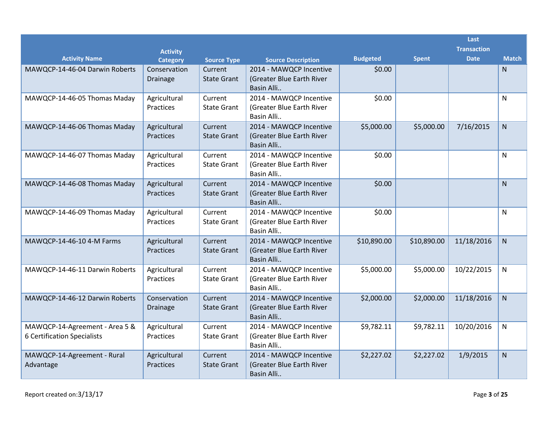|                                                               |                                    |                               |                                                                    |                 |              | Last<br><b>Transaction</b> |                |
|---------------------------------------------------------------|------------------------------------|-------------------------------|--------------------------------------------------------------------|-----------------|--------------|----------------------------|----------------|
| <b>Activity Name</b>                                          | <b>Activity</b><br><b>Category</b> | <b>Source Type</b>            | <b>Source Description</b>                                          | <b>Budgeted</b> | <b>Spent</b> | <b>Date</b>                | <b>Match</b>   |
| MAWQCP-14-46-04 Darwin Roberts                                | Conservation<br><b>Drainage</b>    | Current<br><b>State Grant</b> | 2014 - MAWQCP Incentive<br>(Greater Blue Earth River<br>Basin Alli | \$0.00          |              |                            | $\mathsf{N}$   |
| MAWQCP-14-46-05 Thomas Maday                                  | Agricultural<br>Practices          | Current<br><b>State Grant</b> | 2014 - MAWQCP Incentive<br>(Greater Blue Earth River<br>Basin Alli | \$0.00          |              |                            | N              |
| MAWQCP-14-46-06 Thomas Maday                                  | Agricultural<br>Practices          | Current<br><b>State Grant</b> | 2014 - MAWQCP Incentive<br>(Greater Blue Earth River<br>Basin Alli | \$5,000.00      | \$5,000.00   | 7/16/2015                  | $\overline{N}$ |
| MAWQCP-14-46-07 Thomas Maday                                  | Agricultural<br>Practices          | Current<br><b>State Grant</b> | 2014 - MAWQCP Incentive<br>(Greater Blue Earth River<br>Basin Alli | \$0.00          |              |                            | N              |
| MAWQCP-14-46-08 Thomas Maday                                  | Agricultural<br>Practices          | Current<br><b>State Grant</b> | 2014 - MAWQCP Incentive<br>(Greater Blue Earth River<br>Basin Alli | \$0.00          |              |                            | $\mathsf{N}$   |
| MAWQCP-14-46-09 Thomas Maday                                  | Agricultural<br>Practices          | Current<br><b>State Grant</b> | 2014 - MAWQCP Incentive<br>(Greater Blue Earth River<br>Basin Alli | \$0.00          |              |                            | N              |
| MAWQCP-14-46-10 4-M Farms                                     | Agricultural<br>Practices          | Current<br><b>State Grant</b> | 2014 - MAWQCP Incentive<br>(Greater Blue Earth River<br>Basin Alli | \$10,890.00     | \$10,890.00  | 11/18/2016                 | $\overline{N}$ |
| MAWQCP-14-46-11 Darwin Roberts                                | Agricultural<br>Practices          | Current<br><b>State Grant</b> | 2014 - MAWQCP Incentive<br>(Greater Blue Earth River<br>Basin Alli | \$5,000.00      | \$5,000.00   | 10/22/2015                 | N.             |
| MAWQCP-14-46-12 Darwin Roberts                                | Conservation<br>Drainage           | Current<br><b>State Grant</b> | 2014 - MAWQCP Incentive<br>(Greater Blue Earth River<br>Basin Alli | \$2,000.00      | \$2,000.00   | 11/18/2016                 | N              |
| MAWQCP-14-Agreement - Area 5 &<br>6 Certification Specialists | Agricultural<br>Practices          | Current<br><b>State Grant</b> | 2014 - MAWQCP Incentive<br>(Greater Blue Earth River<br>Basin Alli | \$9,782.11      | \$9,782.11   | 10/20/2016                 | N              |
| MAWQCP-14-Agreement - Rural<br>Advantage                      | Agricultural<br>Practices          | Current<br><b>State Grant</b> | 2014 - MAWQCP Incentive<br>(Greater Blue Earth River<br>Basin Alli | \$2,227.02      | \$2,227.02   | 1/9/2015                   | $\mathsf{N}$   |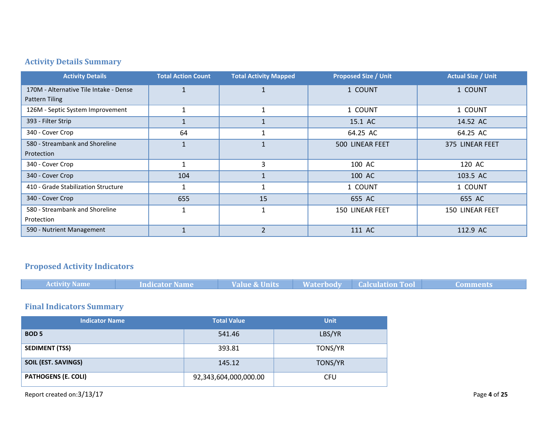## **Activity Details Summary**

| <b>Activity Details</b>                | <b>Total Action Count</b> | <b>Total Activity Mapped</b> | <b>Proposed Size / Unit</b> | <b>Actual Size / Unit</b> |
|----------------------------------------|---------------------------|------------------------------|-----------------------------|---------------------------|
| 170M - Alternative Tile Intake - Dense |                           |                              | 1 COUNT                     | 1 COUNT                   |
| Pattern Tiling                         |                           |                              |                             |                           |
| 126M - Septic System Improvement       |                           |                              | 1 COUNT                     | 1 COUNT                   |
| 393 - Filter Strip                     |                           |                              | 15.1 AC                     | 14.52 AC                  |
| 340 - Cover Crop                       | 64                        |                              | 64.25 AC                    | 64.25 AC                  |
| 580 - Streambank and Shoreline         |                           |                              | 500 LINEAR FEET             | 375 LINEAR FEET           |
| Protection                             |                           |                              |                             |                           |
| 340 - Cover Crop                       |                           | 3                            | 100 AC                      | 120 AC                    |
| 340 - Cover Crop                       | 104                       |                              | 100 AC                      | 103.5 AC                  |
| 410 - Grade Stabilization Structure    |                           |                              | 1 COUNT                     | 1 COUNT                   |
| 340 - Cover Crop                       | 655                       | 15                           | 655 AC                      | 655 AC                    |
| 580 - Streambank and Shoreline         | 1                         | 1                            | 150 LINEAR FEET             | <b>150 LINEAR FEET</b>    |
| Protection                             |                           |                              |                             |                           |
| 590 - Nutrient Management              |                           | $\overline{2}$               | 111 AC                      | 112.9 AC                  |

## **Proposed Activity Indicators**

| <b>Activity Name</b><br><b>Indicator Name</b> |  |  | Value & Units Materbody Calculation Tool | <b>Comments</b> |
|-----------------------------------------------|--|--|------------------------------------------|-----------------|
|-----------------------------------------------|--|--|------------------------------------------|-----------------|

## **Final Indicators Summary**

| <b>Indicator Name</b>      | <b>Total Value</b>    | <b>Unit</b> |
|----------------------------|-----------------------|-------------|
| <b>BOD 5</b>               | 541.46                | LBS/YR      |
| <b>SEDIMENT (TSS)</b>      | 393.81                | TONS/YR     |
| <b>SOIL (EST. SAVINGS)</b> | 145.12                | TONS/YR     |
| <b>PATHOGENS (E. COLI)</b> | 92,343,604,000,000.00 | CFU         |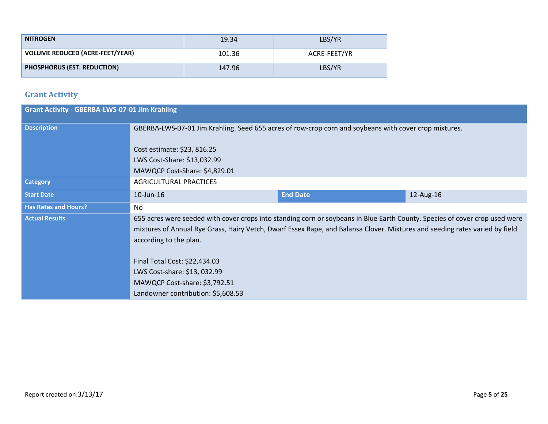| <b>NITROGEN</b>                        | 19.34  | LBS/YR       |
|----------------------------------------|--------|--------------|
| <b>VOLUME REDUCED (ACRE-FEET/YEAR)</b> | 101.36 | ACRE-FEET/YR |
| <b>PHOSPHORUS (EST. REDUCTION)</b>     | 147.96 | LBS/YR       |

## **Grant Activity**

| <b>Grant Activity - GBERBA-LWS-07-01 Jim Krahling</b> |                                                                                                                                                                                                                                                                                                                                                                                                                              |                 |           |  |  |
|-------------------------------------------------------|------------------------------------------------------------------------------------------------------------------------------------------------------------------------------------------------------------------------------------------------------------------------------------------------------------------------------------------------------------------------------------------------------------------------------|-----------------|-----------|--|--|
| <b>Description</b>                                    | GBERBA-LWS-07-01 Jim Krahling. Seed 655 acres of row-crop corn and soybeans with cover crop mixtures.<br>Cost estimate: \$23, 816.25<br>LWS Cost-Share: \$13,032.99<br>MAWQCP Cost-Share: \$4,829.01                                                                                                                                                                                                                         |                 |           |  |  |
| <b>Category</b>                                       | <b>AGRICULTURAL PRACTICES</b>                                                                                                                                                                                                                                                                                                                                                                                                |                 |           |  |  |
| <b>Start Date</b>                                     | 10-Jun-16                                                                                                                                                                                                                                                                                                                                                                                                                    | <b>End Date</b> | 12-Aug-16 |  |  |
| <b>Has Rates and Hours?</b>                           | No.                                                                                                                                                                                                                                                                                                                                                                                                                          |                 |           |  |  |
| <b>Actual Results</b>                                 | 655 acres were seeded with cover crops into standing corn or soybeans in Blue Earth County. Species of cover crop used were<br>mixtures of Annual Rye Grass, Hairy Vetch, Dwarf Essex Rape, and Balansa Clover. Mixtures and seeding rates varied by field<br>according to the plan.<br>Final Total Cost: \$22,434.03<br>LWS Cost-share: \$13, 032.99<br>MAWQCP Cost-share: \$3,792.51<br>Landowner contribution: \$5,608.53 |                 |           |  |  |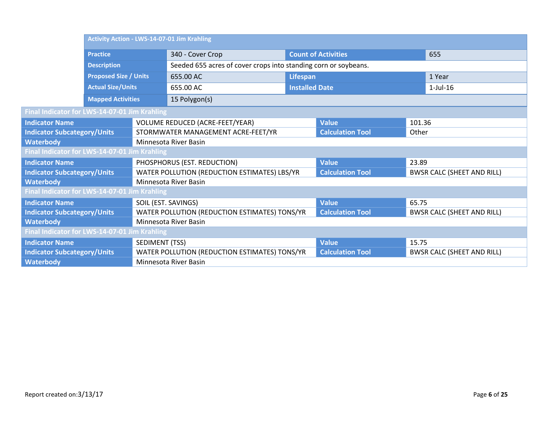|                                               |                              | <b>Activity Action - LWS-14-07-01 Jim Krahling</b> |                                                                 |                       |                            |        |                                   |
|-----------------------------------------------|------------------------------|----------------------------------------------------|-----------------------------------------------------------------|-----------------------|----------------------------|--------|-----------------------------------|
|                                               | <b>Practice</b>              |                                                    | 340 - Cover Crop                                                |                       | <b>Count of Activities</b> |        | 655                               |
|                                               | <b>Description</b>           |                                                    | Seeded 655 acres of cover crops into standing corn or soybeans. |                       |                            |        |                                   |
|                                               | <b>Proposed Size / Units</b> |                                                    | 655.00 AC                                                       | <b>Lifespan</b>       |                            |        | 1 Year                            |
|                                               | <b>Actual Size/Units</b>     |                                                    | 655.00 AC                                                       | <b>Installed Date</b> |                            |        | $1$ -Jul- $16$                    |
|                                               | <b>Mapped Activities</b>     |                                                    | 15 Polygon(s)                                                   |                       |                            |        |                                   |
| Final Indicator for LWS-14-07-01 Jim Krahling |                              |                                                    |                                                                 |                       |                            |        |                                   |
| <b>Indicator Name</b>                         |                              |                                                    | VOLUME REDUCED (ACRE-FEET/YEAR)                                 |                       | <b>Value</b>               | 101.36 |                                   |
| <b>Indicator Subcategory/Units</b>            |                              |                                                    | STORMWATER MANAGEMENT ACRE-FEET/YR                              |                       | <b>Calculation Tool</b>    | Other  |                                   |
| <b>Waterbody</b>                              |                              |                                                    | Minnesota River Basin                                           |                       |                            |        |                                   |
| Final Indicator for LWS-14-07-01 Jim Krahling |                              |                                                    |                                                                 |                       |                            |        |                                   |
| <b>Indicator Name</b>                         |                              |                                                    | PHOSPHORUS (EST. REDUCTION)                                     |                       | <b>Value</b>               | 23.89  |                                   |
| <b>Indicator Subcategory/Units</b>            |                              |                                                    | WATER POLLUTION (REDUCTION ESTIMATES) LBS/YR                    |                       | <b>Calculation Tool</b>    |        | <b>BWSR CALC (SHEET AND RILL)</b> |
| <b>Waterbody</b>                              |                              |                                                    | Minnesota River Basin                                           |                       |                            |        |                                   |
| Final Indicator for LWS-14-07-01 Jim Krahling |                              |                                                    |                                                                 |                       |                            |        |                                   |
| <b>Indicator Name</b>                         |                              | SOIL (EST. SAVINGS)                                |                                                                 |                       | <b>Value</b>               | 65.75  |                                   |
| <b>Indicator Subcategory/Units</b>            |                              |                                                    | WATER POLLUTION (REDUCTION ESTIMATES) TONS/YR                   |                       | <b>Calculation Tool</b>    |        | <b>BWSR CALC (SHEET AND RILL)</b> |
| <b>Waterbody</b>                              |                              | Minnesota River Basin                              |                                                                 |                       |                            |        |                                   |
| Final Indicator for LWS-14-07-01 Jim Krahling |                              |                                                    |                                                                 |                       |                            |        |                                   |
| <b>Indicator Name</b>                         |                              | SEDIMENT (TSS)                                     |                                                                 |                       | <b>Value</b>               | 15.75  |                                   |
| <b>Indicator Subcategory/Units</b>            |                              |                                                    | WATER POLLUTION (REDUCTION ESTIMATES) TONS/YR                   |                       | <b>Calculation Tool</b>    |        | <b>BWSR CALC (SHEET AND RILL)</b> |
| <b>Waterbody</b>                              |                              |                                                    | Minnesota River Basin                                           |                       |                            |        |                                   |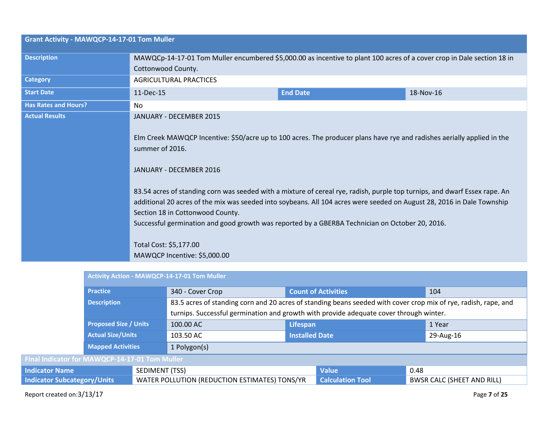| <b>Grant Activity - MAWQCP-14-17-01 Tom Muller</b> |                                                                                                                                                                                                                                                                                                                                |                 |           |  |  |
|----------------------------------------------------|--------------------------------------------------------------------------------------------------------------------------------------------------------------------------------------------------------------------------------------------------------------------------------------------------------------------------------|-----------------|-----------|--|--|
| <b>Description</b>                                 | MAWQCp-14-17-01 Tom Muller encumbered \$5,000.00 as incentive to plant 100 acres of a cover crop in Dale section 18 in<br>Cottonwood County.                                                                                                                                                                                   |                 |           |  |  |
| <b>Category</b>                                    | <b>AGRICULTURAL PRACTICES</b>                                                                                                                                                                                                                                                                                                  |                 |           |  |  |
| <b>Start Date</b>                                  | 11-Dec-15                                                                                                                                                                                                                                                                                                                      | <b>End Date</b> | 18-Nov-16 |  |  |
| <b>Has Rates and Hours?</b>                        | No                                                                                                                                                                                                                                                                                                                             |                 |           |  |  |
| <b>Actual Results</b>                              | JANUARY - DECEMBER 2015<br>Elm Creek MAWQCP Incentive: \$50/acre up to 100 acres. The producer plans have rye and radishes aerially applied in the<br>summer of 2016.<br>JANUARY - DECEMBER 2016<br>83.54 acres of standing corn was seeded with a mixture of cereal rye, radish, purple top turnips, and dwarf Essex rape. An |                 |           |  |  |
|                                                    | additional 20 acres of the mix was seeded into soybeans. All 104 acres were seeded on August 28, 2016 in Dale Township<br>Section 18 in Cottonwood County.<br>Successful germination and good growth was reported by a GBERBA Technician on October 20, 2016.                                                                  |                 |           |  |  |
|                                                    | Total Cost: \$5,177.00<br>MAWQCP Incentive: \$5,000.00                                                                                                                                                                                                                                                                         |                 |           |  |  |

|                                                | Activity Action - MAWQCP-14-17-01 Tom Muller             |                                               |                                                                                                                 |                            |              |                                   |  |
|------------------------------------------------|----------------------------------------------------------|-----------------------------------------------|-----------------------------------------------------------------------------------------------------------------|----------------------------|--------------|-----------------------------------|--|
| <b>Practice</b>                                |                                                          | 340 - Cover Crop                              |                                                                                                                 | <b>Count of Activities</b> |              | 104                               |  |
|                                                | <b>Description</b>                                       |                                               | 83.5 acres of standing corn and 20 acres of standing beans seeded with cover crop mix of rye, radish, rape, and |                            |              |                                   |  |
|                                                |                                                          |                                               | turnips. Successful germination and growth with provide adequate cover through winter.                          |                            |              |                                   |  |
|                                                | <b>Proposed Size / Units</b><br><b>Actual Size/Units</b> |                                               | 100.00 AC                                                                                                       | <b>Lifespan</b>            |              | 1 Year                            |  |
|                                                |                                                          |                                               | 103.50 AC                                                                                                       | <b>Installed Date</b>      |              | 29-Aug-16                         |  |
|                                                | <b>Mapped Activities</b>                                 |                                               | 1 Polygon(s)                                                                                                    |                            |              |                                   |  |
| Final Indicator for MAWQCP-14-17-01 Tom Muller |                                                          |                                               |                                                                                                                 |                            |              |                                   |  |
| <b>Indicator Name</b>                          |                                                          | SEDIMENT (TSS)                                |                                                                                                                 |                            | <b>Value</b> | 0.48                              |  |
| <b>Indicator Subcategory/Units</b>             |                                                          | WATER POLLUTION (REDUCTION ESTIMATES) TONS/YR |                                                                                                                 | <b>Calculation Tool</b>    |              | <b>BWSR CALC (SHEET AND RILL)</b> |  |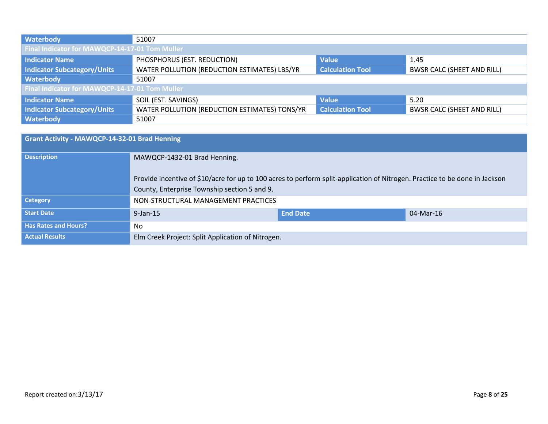| Waterbody                                      | 51007                                         |                         |                                   |  |  |
|------------------------------------------------|-----------------------------------------------|-------------------------|-----------------------------------|--|--|
| Final Indicator for MAWQCP-14-17-01 Tom Muller |                                               |                         |                                   |  |  |
| <b>Indicator Name</b>                          | PHOSPHORUS (EST. REDUCTION)                   | <b>Value</b>            | 1.45                              |  |  |
| <b>Indicator Subcategory/Units</b>             | WATER POLLUTION (REDUCTION ESTIMATES) LBS/YR  | <b>Calculation Tool</b> | <b>BWSR CALC (SHEET AND RILL)</b> |  |  |
| Waterbody                                      | 51007                                         |                         |                                   |  |  |
| Final Indicator for MAWQCP-14-17-01 Tom Muller |                                               |                         |                                   |  |  |
| <b>Indicator Name</b>                          | SOIL (EST. SAVINGS)                           | <b>Value</b>            | 5.20                              |  |  |
| <b>Indicator Subcategory/Units</b>             | WATER POLLUTION (REDUCTION ESTIMATES) TONS/YR | <b>Calculation Tool</b> | <b>BWSR CALC (SHEET AND RILL)</b> |  |  |
| Waterbody                                      | 51007                                         |                         |                                   |  |  |

| <b>Grant Activity - MAWQCP-14-32-01 Brad Henning</b> |                                                                                                                                                                             |                 |           |  |
|------------------------------------------------------|-----------------------------------------------------------------------------------------------------------------------------------------------------------------------------|-----------------|-----------|--|
| <b>Description</b>                                   | MAWQCP-1432-01 Brad Henning.                                                                                                                                                |                 |           |  |
|                                                      | Provide incentive of \$10/acre for up to 100 acres to perform split-application of Nitrogen. Practice to be done in Jackson<br>County, Enterprise Township section 5 and 9. |                 |           |  |
| <b>Category</b>                                      | NON-STRUCTURAL MANAGEMENT PRACTICES                                                                                                                                         |                 |           |  |
| <b>Start Date</b>                                    | $9$ -Jan-15                                                                                                                                                                 | <b>End Date</b> | 04-Mar-16 |  |
| <b>Has Rates and Hours?</b>                          | No.                                                                                                                                                                         |                 |           |  |
| <b>Actual Results</b>                                | Elm Creek Project: Split Application of Nitrogen.                                                                                                                           |                 |           |  |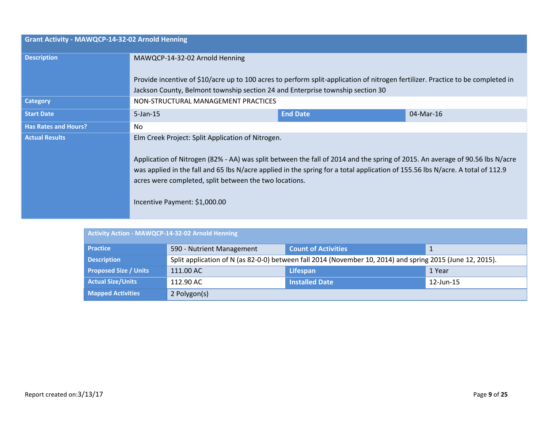| <b>Grant Activity - MAWQCP-14-32-02 Arnold Henning</b> |                                                                                                                                                                                                                                                                                                                                                                                                                |                 |           |  |
|--------------------------------------------------------|----------------------------------------------------------------------------------------------------------------------------------------------------------------------------------------------------------------------------------------------------------------------------------------------------------------------------------------------------------------------------------------------------------------|-----------------|-----------|--|
| <b>Description</b>                                     | MAWQCP-14-32-02 Arnold Henning                                                                                                                                                                                                                                                                                                                                                                                 |                 |           |  |
|                                                        | Provide incentive of \$10/acre up to 100 acres to perform split-application of nitrogen fertilizer. Practice to be completed in<br>Jackson County, Belmont township section 24 and Enterprise township section 30                                                                                                                                                                                              |                 |           |  |
| <b>Category</b>                                        | NON-STRUCTURAL MANAGEMENT PRACTICES                                                                                                                                                                                                                                                                                                                                                                            |                 |           |  |
| <b>Start Date</b>                                      | $5$ -Jan-15                                                                                                                                                                                                                                                                                                                                                                                                    | <b>End Date</b> | 04-Mar-16 |  |
| <b>Has Rates and Hours?</b>                            | No.                                                                                                                                                                                                                                                                                                                                                                                                            |                 |           |  |
| <b>Actual Results</b>                                  | Elm Creek Project: Split Application of Nitrogen.<br>Application of Nitrogen (82% - AA) was split between the fall of 2014 and the spring of 2015. An average of 90.56 lbs N/acre<br>was applied in the fall and 65 lbs N/acre applied in the spring for a total application of 155.56 lbs N/acre. A total of 112.9<br>acres were completed, split between the two locations.<br>Incentive Payment: \$1,000.00 |                 |           |  |

| Activity Action - MAWQCP-14-32-02 Arnold Henning |                                                                                                           |                            |              |  |  |
|--------------------------------------------------|-----------------------------------------------------------------------------------------------------------|----------------------------|--------------|--|--|
| <b>Practice</b>                                  | 590 - Nutrient Management                                                                                 | <b>Count of Activities</b> |              |  |  |
| <b>Description</b>                               | Split application of N (as 82-0-0) between fall 2014 (November 10, 2014) and spring 2015 (June 12, 2015). |                            |              |  |  |
| <b>Proposed Size / Units</b>                     | 111.00 AC                                                                                                 | Lifespan                   | 1 Year       |  |  |
| <b>Actual Size/Units</b>                         | 112.90 AC                                                                                                 | <b>Installed Date</b>      | $12$ -Jun-15 |  |  |
| <b>Mapped Activities</b>                         | 2 Polygon(s)                                                                                              |                            |              |  |  |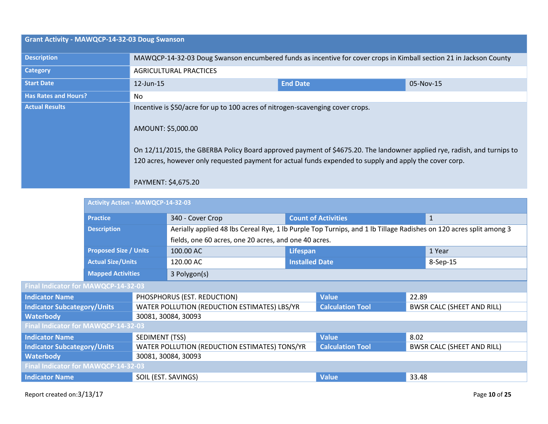| <b>Grant Activity - MAWQCP-14-32-03 Doug Swanson</b> |                                                                                                                                                                                                                                                                                                                                                                   |                 |           |  |  |
|------------------------------------------------------|-------------------------------------------------------------------------------------------------------------------------------------------------------------------------------------------------------------------------------------------------------------------------------------------------------------------------------------------------------------------|-----------------|-----------|--|--|
| <b>Description</b>                                   | MAWQCP-14-32-03 Doug Swanson encumbered funds as incentive for cover crops in Kimball section 21 in Jackson County                                                                                                                                                                                                                                                |                 |           |  |  |
| <b>Category</b>                                      | <b>AGRICULTURAL PRACTICES</b>                                                                                                                                                                                                                                                                                                                                     |                 |           |  |  |
| <b>Start Date</b>                                    | 12-Jun-15                                                                                                                                                                                                                                                                                                                                                         | <b>End Date</b> | 05-Nov-15 |  |  |
| <b>Has Rates and Hours?</b>                          | No.                                                                                                                                                                                                                                                                                                                                                               |                 |           |  |  |
| <b>Actual Results</b>                                | Incentive is \$50/acre for up to 100 acres of nitrogen-scavenging cover crops.<br>AMOUNT: \$5,000.00<br>On 12/11/2015, the GBERBA Policy Board approved payment of \$4675.20. The landowner applied rye, radish, and turnips to<br>120 acres, however only requested payment for actual funds expended to supply and apply the cover corp.<br>PAYMENT: \$4,675.20 |                 |           |  |  |

|                                     |                          | <b>Activity Action - MAWQCP-14-32-03</b> |                                                                                                                   |          |                            |        |                                   |
|-------------------------------------|--------------------------|------------------------------------------|-------------------------------------------------------------------------------------------------------------------|----------|----------------------------|--------|-----------------------------------|
|                                     | <b>Practice</b>          |                                          | 340 - Cover Crop                                                                                                  |          | <b>Count of Activities</b> |        | $\mathbf{1}$                      |
|                                     | <b>Description</b>       |                                          | Aerially applied 48 lbs Cereal Rye, 1 lb Purple Top Turnips, and 1 lb Tillage Radishes on 120 acres split among 3 |          |                            |        |                                   |
|                                     |                          |                                          | fields, one 60 acres, one 20 acres, and one 40 acres.                                                             |          |                            |        |                                   |
| <b>Proposed Size / Units</b>        |                          |                                          | 100.00 AC                                                                                                         | Lifespan |                            | 1 Year |                                   |
| <b>Actual Size/Units</b>            |                          | 120.00 AC                                | <b>Installed Date</b>                                                                                             |          | 8-Sep-15                   |        |                                   |
|                                     | <b>Mapped Activities</b> |                                          | 3 Polygon(s)                                                                                                      |          |                            |        |                                   |
| Final Indicator for MAWQCP-14-32-03 |                          |                                          |                                                                                                                   |          |                            |        |                                   |
| <b>Indicator Name</b>               |                          |                                          | PHOSPHORUS (EST. REDUCTION)                                                                                       |          | <b>Value</b>               | 22.89  |                                   |
| <b>Indicator Subcategory/Units</b>  |                          |                                          | WATER POLLUTION (REDUCTION ESTIMATES) LBS/YR                                                                      |          | <b>Calculation Tool</b>    |        | <b>BWSR CALC (SHEET AND RILL)</b> |
| <b>Waterbody</b>                    |                          |                                          | 30081, 30084, 30093                                                                                               |          |                            |        |                                   |
| Final Indicator for MAWQCP-14-32-03 |                          |                                          |                                                                                                                   |          |                            |        |                                   |
| <b>Indicator Name</b>               |                          | SEDIMENT (TSS)                           |                                                                                                                   |          | <b>Value</b>               | 8 Q 2  |                                   |

| - Filidi Illulcator Tor IviAvvQCF-14-32-03 |                                               |                         |                                   |  |  |  |
|--------------------------------------------|-----------------------------------------------|-------------------------|-----------------------------------|--|--|--|
| <b>Indicator Name</b>                      | SEDIMENT (TSS)                                | <b>Value</b>            | 8.02                              |  |  |  |
| Indicator Subcategory/Units                | WATER POLLUTION (REDUCTION ESTIMATES) TONS/YR | <b>Calculation Tool</b> | <b>BWSR CALC (SHEET AND RILL)</b> |  |  |  |
| Waterbody                                  | 30081, 30084, 30093                           |                         |                                   |  |  |  |
| Final Indicator for MAWQCP-14-32-03        |                                               |                         |                                   |  |  |  |
| l Indicator Name                           | SOIL (EST. SAVINGS)                           | <b>Value</b>            | 33.48                             |  |  |  |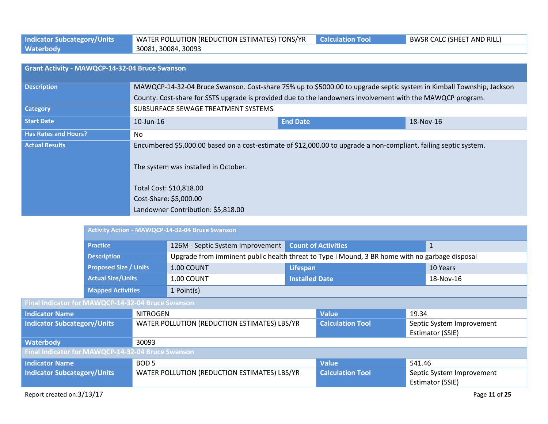| <b>Indicator Subcategory/Units</b> | V WATER POLLUTION (REDUCTION ESTIMATES) TONS/YR Calculation Tool | <b>BWSR CALC (SHEET AND RILL)</b> |
|------------------------------------|------------------------------------------------------------------|-----------------------------------|
| Waterbody                          | 30081, 30084, 30093                                              |                                   |

| Grant Activity - MAWQCP-14-32-04 Bruce Swanson |                                                                                                                                                                                     |                 |           |  |  |
|------------------------------------------------|-------------------------------------------------------------------------------------------------------------------------------------------------------------------------------------|-----------------|-----------|--|--|
| <b>Description</b>                             | MAWQCP-14-32-04 Bruce Swanson. Cost-share 75% up to \$5000.00 to upgrade septic system in Kimball Township, Jackson                                                                 |                 |           |  |  |
|                                                | County. Cost-share for SSTS upgrade is provided due to the landowners involvement with the MAWQCP program.                                                                          |                 |           |  |  |
| <b>Category</b>                                | SUBSURFACE SEWAGE TREATMENT SYSTEMS                                                                                                                                                 |                 |           |  |  |
| <b>Start Date</b>                              | $10$ -Jun- $16$                                                                                                                                                                     | <b>End Date</b> | 18-Nov-16 |  |  |
| <b>Has Rates and Hours?</b>                    | N <sub>o</sub>                                                                                                                                                                      |                 |           |  |  |
| <b>Actual Results</b>                          | Encumbered \$5,000.00 based on a cost-estimate of \$12,000.00 to upgrade a non-compliant, failing septic system.<br>The system was installed in October.<br>Total Cost: \$10,818.00 |                 |           |  |  |
|                                                | Cost-Share: \$5,000.00                                                                                                                                                              |                 |           |  |  |
|                                                |                                                                                                                                                                                     |                 |           |  |  |
|                                                | Landowner Contribution: \$5,818.00                                                                                                                                                  |                 |           |  |  |

|                                                   |                                                                                |                                              | <b>Activity Action - MAWQCP-14-32-04 Bruce Swanson</b>                                         |                         |                            |                                               |                                               |  |
|---------------------------------------------------|--------------------------------------------------------------------------------|----------------------------------------------|------------------------------------------------------------------------------------------------|-------------------------|----------------------------|-----------------------------------------------|-----------------------------------------------|--|
|                                                   | <b>Practice</b>                                                                |                                              | 126M - Septic System Improvement                                                               |                         | <b>Count of Activities</b> |                                               | $\mathbf{1}$                                  |  |
|                                                   | <b>Description</b><br><b>Proposed Size / Units</b><br><b>Actual Size/Units</b> |                                              | Upgrade from imminent public health threat to Type I Mound, 3 BR home with no garbage disposal |                         |                            |                                               |                                               |  |
|                                                   |                                                                                |                                              | 1.00 COUNT                                                                                     | Lifespan                |                            | 10 Years                                      |                                               |  |
|                                                   |                                                                                |                                              | 1.00 COUNT                                                                                     | <b>Installed Date</b>   |                            |                                               | 18-Nov-16                                     |  |
|                                                   | <b>Mapped Activities</b>                                                       |                                              | 1 Point(s)                                                                                     |                         |                            |                                               |                                               |  |
| Final Indicator for MAWQCP-14-32-04 Bruce Swanson |                                                                                |                                              |                                                                                                |                         |                            |                                               |                                               |  |
| <b>Indicator Name</b>                             |                                                                                | <b>NITROGEN</b>                              |                                                                                                |                         | <b>Value</b>               | 19.34                                         |                                               |  |
| <b>Indicator Subcategory/Units</b>                |                                                                                |                                              | WATER POLLUTION (REDUCTION ESTIMATES) LBS/YR                                                   |                         | <b>Calculation Tool</b>    |                                               | Septic System Improvement<br>Estimator (SSIE) |  |
| <b>Waterbody</b>                                  |                                                                                | 30093                                        |                                                                                                |                         |                            |                                               |                                               |  |
| Final Indicator for MAWQCP-14-32-04 Bruce Swanson |                                                                                |                                              |                                                                                                |                         |                            |                                               |                                               |  |
| BOD <sub>5</sub><br><b>Indicator Name</b>         |                                                                                |                                              |                                                                                                |                         | <b>Value</b>               | 541.46                                        |                                               |  |
| <b>Indicator Subcategory/Units</b>                |                                                                                | WATER POLLUTION (REDUCTION ESTIMATES) LBS/YR |                                                                                                | <b>Calculation Tool</b> |                            | Septic System Improvement<br>Estimator (SSIE) |                                               |  |
|                                                   | Report created on:3/13/17<br>Page 11 of 25                                     |                                              |                                                                                                |                         |                            |                                               |                                               |  |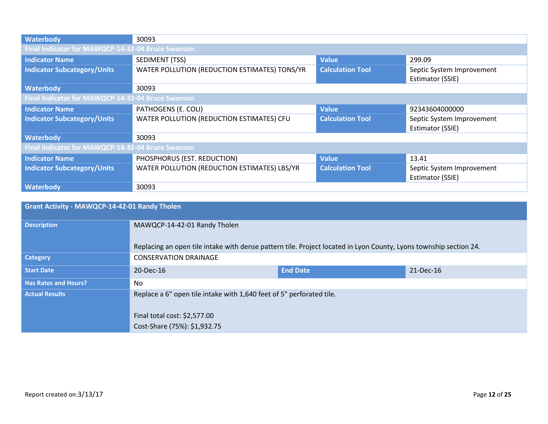| Waterbody                                         | 30093                                         |                         |                           |  |  |  |
|---------------------------------------------------|-----------------------------------------------|-------------------------|---------------------------|--|--|--|
| Final Indicator for MAWQCP-14-32-04 Bruce Swanson |                                               |                         |                           |  |  |  |
| <b>Indicator Name</b>                             | SEDIMENT (TSS)                                | <b>Value</b>            | 299.09                    |  |  |  |
| <b>Indicator Subcategory/Units</b>                | WATER POLLUTION (REDUCTION ESTIMATES) TONS/YR | <b>Calculation Tool</b> | Septic System Improvement |  |  |  |
|                                                   |                                               |                         | Estimator (SSIE)          |  |  |  |
| Waterbody                                         | 30093                                         |                         |                           |  |  |  |
| Final Indicator for MAWQCP-14-32-04 Bruce Swanson |                                               |                         |                           |  |  |  |
| <b>Indicator Name</b>                             | PATHOGENS (E. COLI)                           | <b>Value</b>            | 92343604000000            |  |  |  |
| <b>Indicator Subcategory/Units</b>                | WATER POLLUTION (REDUCTION ESTIMATES) CFU     | <b>Calculation Tool</b> | Septic System Improvement |  |  |  |
|                                                   |                                               |                         | Estimator (SSIE)          |  |  |  |
| Waterbody                                         | 30093                                         |                         |                           |  |  |  |
| Final Indicator for MAWQCP-14-32-04 Bruce Swanson |                                               |                         |                           |  |  |  |
| <b>Indicator Name</b>                             | PHOSPHORUS (EST. REDUCTION)                   | <b>Value</b>            | 13.41                     |  |  |  |
| <b>Indicator Subcategory/Units</b>                | WATER POLLUTION (REDUCTION ESTIMATES) LBS/YR  | <b>Calculation Tool</b> | Septic System Improvement |  |  |  |
|                                                   |                                               |                         | Estimator (SSIE)          |  |  |  |
| Waterbody                                         | 30093                                         |                         |                           |  |  |  |

| <b>Grant Activity - MAWQCP-14-42-01 Randy Tholen</b> |                                                                                                                   |                 |           |  |  |
|------------------------------------------------------|-------------------------------------------------------------------------------------------------------------------|-----------------|-----------|--|--|
| <b>Description</b>                                   | MAWQCP-14-42-01 Randy Tholen                                                                                      |                 |           |  |  |
|                                                      | Replacing an open tile intake with dense pattern tile. Project located in Lyon County, Lyons township section 24. |                 |           |  |  |
| <b>Category</b>                                      | <b>CONSERVATION DRAINAGE</b>                                                                                      |                 |           |  |  |
| <b>Start Date</b>                                    | 20-Dec-16                                                                                                         | <b>End Date</b> | 21-Dec-16 |  |  |
| <b>Has Rates and Hours?</b>                          | No.                                                                                                               |                 |           |  |  |
| <b>Actual Results</b>                                | Replace a 6" open tile intake with 1,640 feet of 5" perforated tile.                                              |                 |           |  |  |
|                                                      | Final total cost: \$2,577.00                                                                                      |                 |           |  |  |
|                                                      | Cost-Share (75%): \$1,932.75                                                                                      |                 |           |  |  |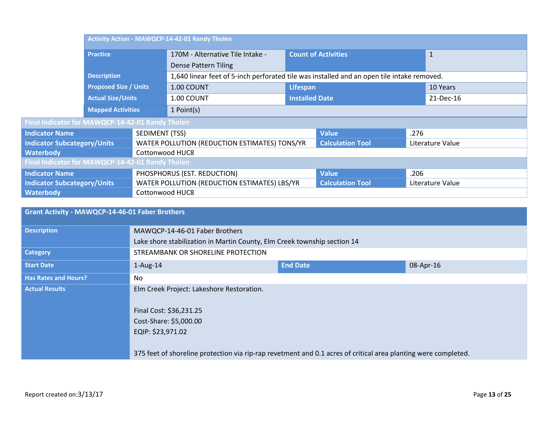|                                                      | Activity Action - MAWQCP-14-42-01 Randy Tholen |                 |                                                                                            |                            |                         |              |                  |
|------------------------------------------------------|------------------------------------------------|-----------------|--------------------------------------------------------------------------------------------|----------------------------|-------------------------|--------------|------------------|
|                                                      | <b>Practice</b>                                |                 | 170M - Alternative Tile Intake -                                                           | <b>Count of Activities</b> |                         | $\mathbf{1}$ |                  |
|                                                      |                                                |                 | <b>Dense Pattern Tiling</b>                                                                |                            |                         |              |                  |
|                                                      | <b>Description</b>                             |                 | 1,640 linear feet of 5-inch perforated tile was installed and an open tile intake removed. |                            |                         |              |                  |
|                                                      | <b>Proposed Size / Units</b>                   |                 | 1.00 COUNT                                                                                 | Lifespan                   |                         | 10 Years     |                  |
|                                                      | <b>Actual Size/Units</b>                       |                 | 1.00 COUNT                                                                                 | <b>Installed Date</b>      |                         | 21-Dec-16    |                  |
|                                                      | <b>Mapped Activities</b>                       |                 | 1 Point(s)                                                                                 |                            |                         |              |                  |
| Final Indicator for MAWQCP-14-42-01 Randy Tholen     |                                                |                 |                                                                                            |                            |                         |              |                  |
| <b>Indicator Name</b>                                |                                                | SEDIMENT (TSS)  |                                                                                            |                            | <b>Value</b>            | .276         |                  |
| <b>Indicator Subcategory/Units</b>                   |                                                |                 | WATER POLLUTION (REDUCTION ESTIMATES) TONS/YR                                              |                            | <b>Calculation Tool</b> |              | Literature Value |
| <b>Waterbody</b>                                     |                                                | Cottonwood HUC8 |                                                                                            |                            |                         |              |                  |
| Final Indicator for MAWQCP-14-42-01 Randy Tholen     |                                                |                 |                                                                                            |                            |                         |              |                  |
| PHOSPHORUS (EST. REDUCTION)<br><b>Indicator Name</b> |                                                |                 | <b>Value</b>                                                                               | .206                       |                         |              |                  |
| <b>Indicator Subcategory/Units</b>                   |                                                |                 | WATER POLLUTION (REDUCTION ESTIMATES) LBS/YR                                               |                            | <b>Calculation Tool</b> |              | Literature Value |
| <b>Waterbody</b>                                     |                                                | Cottonwood HUC8 |                                                                                            |                            |                         |              |                  |

| <b>Grant Activity - MAWQCP-14-46-01 Faber Brothers</b> |                                                                                                                                                                                                                                       |                 |           |  |  |
|--------------------------------------------------------|---------------------------------------------------------------------------------------------------------------------------------------------------------------------------------------------------------------------------------------|-----------------|-----------|--|--|
| <b>Description</b>                                     | MAWQCP-14-46-01 Faber Brothers                                                                                                                                                                                                        |                 |           |  |  |
|                                                        | Lake shore stabilization in Martin County, Elm Creek township section 14                                                                                                                                                              |                 |           |  |  |
| <b>Category</b>                                        | STREAMBANK OR SHORELINE PROTECTION                                                                                                                                                                                                    |                 |           |  |  |
| <b>Start Date</b>                                      | $1-Aug-14$                                                                                                                                                                                                                            | <b>End Date</b> | 08-Apr-16 |  |  |
| <b>Has Rates and Hours?</b>                            | No.                                                                                                                                                                                                                                   |                 |           |  |  |
| <b>Actual Results</b>                                  | Elm Creek Project: Lakeshore Restoration.<br>Final Cost: \$36,231.25<br>Cost-Share: \$5,000.00<br>EQIP: \$23,971.02<br>375 feet of shoreline protection via rip-rap revetment and 0.1 acres of critical area planting were completed. |                 |           |  |  |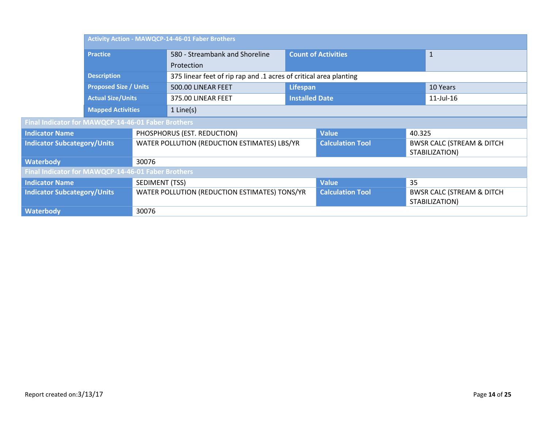|                                                    | <b>Activity Action - MAWQCP-14-46-01 Faber Brothers</b> |                       |                                                                   |                            |                         |              |                                                        |
|----------------------------------------------------|---------------------------------------------------------|-----------------------|-------------------------------------------------------------------|----------------------------|-------------------------|--------------|--------------------------------------------------------|
|                                                    | <b>Practice</b>                                         |                       | 580 - Streambank and Shoreline                                    | <b>Count of Activities</b> |                         | $\mathbf{1}$ |                                                        |
|                                                    |                                                         |                       | Protection                                                        |                            |                         |              |                                                        |
|                                                    | <b>Description</b>                                      |                       | 375 linear feet of rip rap and .1 acres of critical area planting |                            |                         |              |                                                        |
|                                                    | <b>Proposed Size / Units</b>                            |                       | 500.00 LINEAR FEET                                                | Lifespan                   |                         | 10 Years     |                                                        |
|                                                    | <b>Actual Size/Units</b>                                |                       | 375.00 LINEAR FEET                                                |                            | <b>Installed Date</b>   |              | $11$ -Jul- $16$                                        |
|                                                    | <b>Mapped Activities</b>                                |                       | $1$ Line(s)                                                       |                            |                         |              |                                                        |
| Final Indicator for MAWQCP-14-46-01 Faber Brothers |                                                         |                       |                                                                   |                            |                         |              |                                                        |
| <b>Indicator Name</b>                              |                                                         |                       | PHOSPHORUS (EST. REDUCTION)                                       |                            | <b>Value</b>            | 40.325       |                                                        |
| <b>Indicator Subcategory/Units</b>                 |                                                         |                       | WATER POLLUTION (REDUCTION ESTIMATES) LBS/YR                      |                            | <b>Calculation Tool</b> |              | <b>BWSR CALC (STREAM &amp; DITCH</b><br>STABILIZATION) |
| <b>Waterbody</b>                                   |                                                         | 30076                 |                                                                   |                            |                         |              |                                                        |
| Final Indicator for MAWQCP-14-46-01 Faber Brothers |                                                         |                       |                                                                   |                            |                         |              |                                                        |
| <b>Indicator Name</b>                              |                                                         | <b>SEDIMENT (TSS)</b> |                                                                   |                            | <b>Value</b>            | 35           |                                                        |
| <b>Indicator Subcategory/Units</b>                 |                                                         |                       | WATER POLLUTION (REDUCTION ESTIMATES) TONS/YR                     |                            | <b>Calculation Tool</b> |              | <b>BWSR CALC (STREAM &amp; DITCH</b><br>STABILIZATION) |
| <b>Waterbody</b>                                   |                                                         | 30076                 |                                                                   |                            |                         |              |                                                        |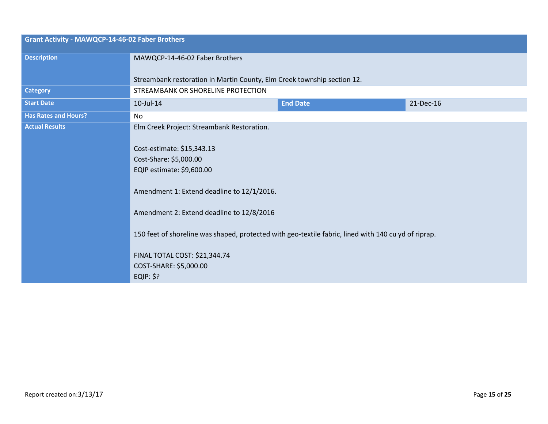| <b>Grant Activity - MAWQCP-14-46-02 Faber Brothers</b>                                                                                                                                    |                  |                                                                                                                                                                                                                               |  |  |
|-------------------------------------------------------------------------------------------------------------------------------------------------------------------------------------------|------------------|-------------------------------------------------------------------------------------------------------------------------------------------------------------------------------------------------------------------------------|--|--|
| MAWQCP-14-46-02 Faber Brothers                                                                                                                                                            |                  |                                                                                                                                                                                                                               |  |  |
|                                                                                                                                                                                           |                  |                                                                                                                                                                                                                               |  |  |
| STREAMBANK OR SHORELINE PROTECTION                                                                                                                                                        |                  |                                                                                                                                                                                                                               |  |  |
| 10-Jul-14                                                                                                                                                                                 | <b>End Date</b>  | 21-Dec-16                                                                                                                                                                                                                     |  |  |
| No                                                                                                                                                                                        |                  |                                                                                                                                                                                                                               |  |  |
| Elm Creek Project: Streambank Restoration.                                                                                                                                                |                  |                                                                                                                                                                                                                               |  |  |
| Cost-estimate: \$15,343.13<br>Cost-Share: \$5,000.00<br>EQIP estimate: \$9,600.00<br>Amendment 2: Extend deadline to 12/8/2016<br>FINAL TOTAL COST: \$21,344.74<br>COST-SHARE: \$5,000.00 |                  |                                                                                                                                                                                                                               |  |  |
|                                                                                                                                                                                           | <b>EQIP: \$?</b> | Streambank restoration in Martin County, Elm Creek township section 12.<br>Amendment 1: Extend deadline to 12/1/2016.<br>150 feet of shoreline was shaped, protected with geo-textile fabric, lined with 140 cu yd of riprap. |  |  |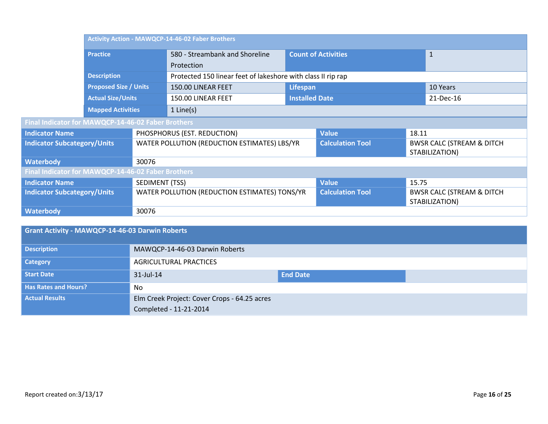|                                                    | <b>Activity Action - MAWQCP-14-46-02 Faber Brothers</b> |       |                                                              |          |                            |          |                                                         |
|----------------------------------------------------|---------------------------------------------------------|-------|--------------------------------------------------------------|----------|----------------------------|----------|---------------------------------------------------------|
|                                                    | <b>Practice</b>                                         |       | 580 - Streambank and Shoreline                               |          | <b>Count of Activities</b> |          | $\mathbf{1}$                                            |
|                                                    |                                                         |       | Protection                                                   |          |                            |          |                                                         |
|                                                    | <b>Description</b>                                      |       | Protected 150 linear feet of lakeshore with class II rip rap |          |                            |          |                                                         |
|                                                    | <b>Proposed Size / Units</b>                            |       | 150.00 LINEAR FEET                                           | Lifespan |                            | 10 Years |                                                         |
|                                                    | <b>Actual Size/Units</b>                                |       | 150.00 LINEAR FEET                                           |          | <b>Installed Date</b>      |          | 21-Dec-16                                               |
|                                                    | <b>Mapped Activities</b>                                |       | $1$ Line(s)                                                  |          |                            |          |                                                         |
| Final Indicator for MAWQCP-14-46-02 Faber Brothers |                                                         |       |                                                              |          |                            |          |                                                         |
| <b>Indicator Name</b>                              |                                                         |       | PHOSPHORUS (EST. REDUCTION)                                  |          | <b>Value</b>               | 18.11    |                                                         |
| <b>Indicator Subcategory/Units</b>                 |                                                         |       | WATER POLLUTION (REDUCTION ESTIMATES) LBS/YR                 |          | <b>Calculation Tool</b>    |          | <b>BWSR CALC (STREAM &amp; DITCH</b><br>STABILIZATION)  |
| <b>Waterbody</b>                                   |                                                         | 30076 |                                                              |          |                            |          |                                                         |
| Final Indicator for MAWQCP-14-46-02 Faber Brothers |                                                         |       |                                                              |          |                            |          |                                                         |
| <b>Indicator Name</b>                              | SEDIMENT (TSS)                                          |       | <b>Value</b>                                                 | 15.75    |                            |          |                                                         |
| <b>Indicator Subcategory/Units</b>                 |                                                         |       | WATER POLLUTION (REDUCTION ESTIMATES) TONS/YR                |          | <b>Calculation Tool</b>    |          | <b>BWSR CALC (STREAM &amp; DITCH)</b><br>STABILIZATION) |
| <b>Waterbody</b>                                   |                                                         | 30076 |                                                              |          |                            |          |                                                         |

| Grant Activity - MAWQCP-14-46-03 Darwin Roberts |                                              |                 |  |  |
|-------------------------------------------------|----------------------------------------------|-----------------|--|--|
| <b>Description</b>                              | MAWQCP-14-46-03 Darwin Roberts               |                 |  |  |
| <b>Category</b>                                 | <b>AGRICULTURAL PRACTICES</b>                |                 |  |  |
| <b>Start Date</b>                               | 31-Jul-14                                    | <b>End Date</b> |  |  |
| <b>Has Rates and Hours?</b>                     | No                                           |                 |  |  |
| <b>Actual Results</b>                           | Elm Creek Project: Cover Crops - 64.25 acres |                 |  |  |
|                                                 | Completed - 11-21-2014                       |                 |  |  |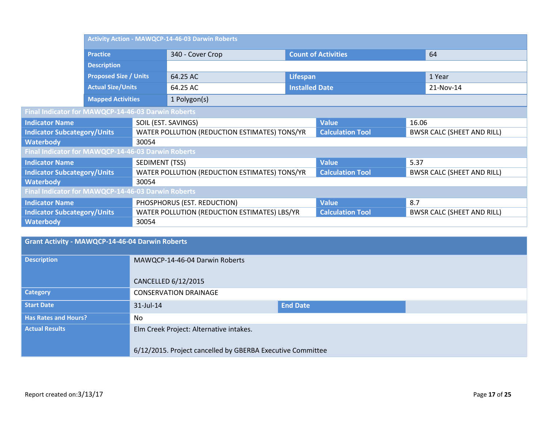|                                                    |                              | <b>Activity Action - MAWQCP-14-46-03 Darwin Roberts</b> |                                               |                            |                         |       |                                   |  |
|----------------------------------------------------|------------------------------|---------------------------------------------------------|-----------------------------------------------|----------------------------|-------------------------|-------|-----------------------------------|--|
|                                                    | <b>Practice</b>              |                                                         | 340 - Cover Crop                              | <b>Count of Activities</b> |                         |       | 64                                |  |
|                                                    | <b>Description</b>           |                                                         |                                               |                            |                         |       |                                   |  |
|                                                    | <b>Proposed Size / Units</b> |                                                         | 64.25 AC                                      | Lifespan                   |                         |       | 1 Year                            |  |
|                                                    | <b>Actual Size/Units</b>     |                                                         | 64.25 AC                                      | <b>Installed Date</b>      |                         |       | 21-Nov-14                         |  |
|                                                    | <b>Mapped Activities</b>     |                                                         | 1 Polygon(s)                                  |                            |                         |       |                                   |  |
| Final Indicator for MAWQCP-14-46-03 Darwin Roberts |                              |                                                         |                                               |                            |                         |       |                                   |  |
| <b>Indicator Name</b>                              |                              |                                                         | SOIL (EST. SAVINGS)                           |                            | <b>Value</b>            | 16.06 |                                   |  |
| <b>Indicator Subcategory/Units</b>                 |                              |                                                         | WATER POLLUTION (REDUCTION ESTIMATES) TONS/YR |                            | <b>Calculation Tool</b> |       | <b>BWSR CALC (SHEET AND RILL)</b> |  |
| <b>Waterbody</b>                                   |                              | 30054                                                   |                                               |                            |                         |       |                                   |  |
| Final Indicator for MAWQCP-14-46-03 Darwin Roberts |                              |                                                         |                                               |                            |                         |       |                                   |  |
| <b>Indicator Name</b>                              |                              | SEDIMENT (TSS)                                          |                                               |                            | <b>Value</b>            | 5.37  |                                   |  |
| <b>Indicator Subcategory/Units</b>                 |                              |                                                         | WATER POLLUTION (REDUCTION ESTIMATES) TONS/YR |                            | <b>Calculation Tool</b> |       | <b>BWSR CALC (SHEET AND RILL)</b> |  |
| <b>Waterbody</b>                                   |                              | 30054                                                   |                                               |                            |                         |       |                                   |  |
| Final Indicator for MAWQCP-14-46-03 Darwin Roberts |                              |                                                         |                                               |                            |                         |       |                                   |  |
| <b>Indicator Name</b>                              |                              |                                                         | PHOSPHORUS (EST. REDUCTION)                   |                            | <b>Value</b>            | 8.7   |                                   |  |
| <b>Indicator Subcategory/Units</b>                 |                              |                                                         | WATER POLLUTION (REDUCTION ESTIMATES) LBS/YR  |                            | <b>Calculation Tool</b> |       | <b>BWSR CALC (SHEET AND RILL)</b> |  |
| <b>Waterbody</b>                                   |                              | 30054                                                   |                                               |                            |                         |       |                                   |  |

| Grant Activity - MAWQCP-14-46-04 Darwin Roberts |                                                            |                 |  |  |
|-------------------------------------------------|------------------------------------------------------------|-----------------|--|--|
| <b>Description</b>                              | MAWQCP-14-46-04 Darwin Roberts                             |                 |  |  |
|                                                 | CANCELLED 6/12/2015                                        |                 |  |  |
| <b>Category</b>                                 | <b>CONSERVATION DRAINAGE</b>                               |                 |  |  |
| <b>Start Date</b>                               | $31$ -Jul-14                                               | <b>End Date</b> |  |  |
| <b>Has Rates and Hours?</b>                     | No.                                                        |                 |  |  |
| <b>Actual Results</b>                           | Elm Creek Project: Alternative intakes.                    |                 |  |  |
|                                                 | 6/12/2015. Project cancelled by GBERBA Executive Committee |                 |  |  |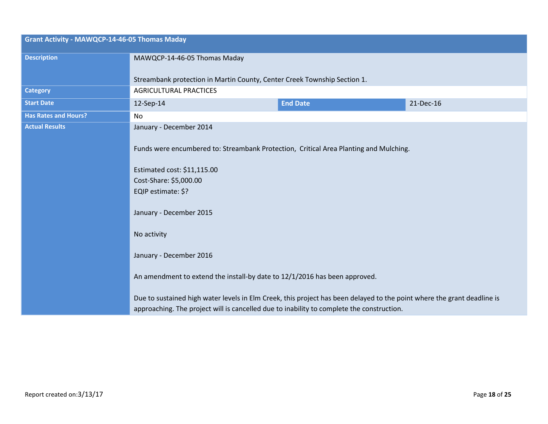| <b>Grant Activity - MAWQCP-14-46-05 Thomas Maday</b> |                                                                                                                                                                                                                      |                 |           |  |  |  |
|------------------------------------------------------|----------------------------------------------------------------------------------------------------------------------------------------------------------------------------------------------------------------------|-----------------|-----------|--|--|--|
| <b>Description</b>                                   | MAWQCP-14-46-05 Thomas Maday                                                                                                                                                                                         |                 |           |  |  |  |
|                                                      | Streambank protection in Martin County, Center Creek Township Section 1.                                                                                                                                             |                 |           |  |  |  |
| <b>Category</b>                                      | <b>AGRICULTURAL PRACTICES</b>                                                                                                                                                                                        |                 |           |  |  |  |
| <b>Start Date</b>                                    | 12-Sep-14                                                                                                                                                                                                            | <b>End Date</b> | 21-Dec-16 |  |  |  |
| <b>Has Rates and Hours?</b>                          | No                                                                                                                                                                                                                   |                 |           |  |  |  |
| <b>Actual Results</b>                                | January - December 2014                                                                                                                                                                                              |                 |           |  |  |  |
|                                                      | Funds were encumbered to: Streambank Protection, Critical Area Planting and Mulching.<br>Estimated cost: \$11,115.00<br>Cost-Share: \$5,000.00<br>EQIP estimate: \$?<br>January - December 2015<br>No activity       |                 |           |  |  |  |
|                                                      | January - December 2016                                                                                                                                                                                              |                 |           |  |  |  |
|                                                      | An amendment to extend the install-by date to 12/1/2016 has been approved.                                                                                                                                           |                 |           |  |  |  |
|                                                      | Due to sustained high water levels in Elm Creek, this project has been delayed to the point where the grant deadline is<br>approaching. The project will is cancelled due to inability to complete the construction. |                 |           |  |  |  |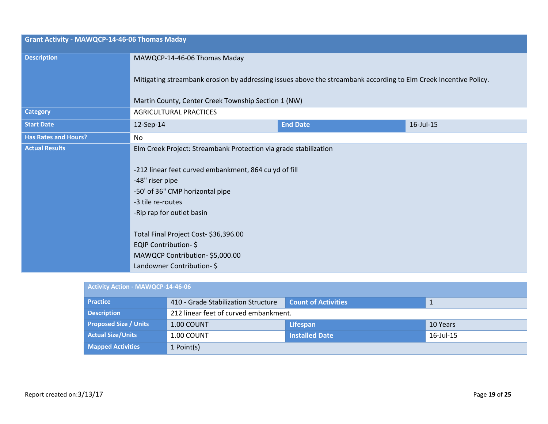| <b>Grant Activity - MAWQCP-14-46-06 Thomas Maday</b> |                                                                                                                                                                                                                                                                                                                                                                  |                 |           |  |  |
|------------------------------------------------------|------------------------------------------------------------------------------------------------------------------------------------------------------------------------------------------------------------------------------------------------------------------------------------------------------------------------------------------------------------------|-----------------|-----------|--|--|
| <b>Description</b>                                   | MAWQCP-14-46-06 Thomas Maday                                                                                                                                                                                                                                                                                                                                     |                 |           |  |  |
|                                                      | Mitigating streambank erosion by addressing issues above the streambank according to Elm Creek Incentive Policy.                                                                                                                                                                                                                                                 |                 |           |  |  |
|                                                      | Martin County, Center Creek Township Section 1 (NW)                                                                                                                                                                                                                                                                                                              |                 |           |  |  |
| <b>Category</b>                                      | <b>AGRICULTURAL PRACTICES</b>                                                                                                                                                                                                                                                                                                                                    |                 |           |  |  |
| <b>Start Date</b>                                    | 12-Sep-14                                                                                                                                                                                                                                                                                                                                                        | <b>End Date</b> | 16-Jul-15 |  |  |
| <b>Has Rates and Hours?</b>                          | No                                                                                                                                                                                                                                                                                                                                                               |                 |           |  |  |
| <b>Actual Results</b>                                | Elm Creek Project: Streambank Protection via grade stabilization<br>-212 linear feet curved embankment, 864 cu yd of fill<br>-48" riser pipe<br>-50' of 36" CMP horizontal pipe<br>-3 tile re-routes<br>-Rip rap for outlet basin<br>Total Final Project Cost-\$36,396.00<br>EQIP Contribution-\$<br>MAWQCP Contribution-\$5,000.00<br>Landowner Contribution-\$ |                 |           |  |  |

| <b>Activity Action - MAWQCP-14-46-06</b> |                                       |                            |           |  |  |
|------------------------------------------|---------------------------------------|----------------------------|-----------|--|--|
| <b>Practice</b>                          | 410 - Grade Stabilization Structure   | <b>Count of Activities</b> | 1         |  |  |
| <b>Description</b>                       | 212 linear feet of curved embankment. |                            |           |  |  |
| <b>Proposed Size / Units</b>             | 1.00 COUNT                            | Lifespan                   | 10 Years  |  |  |
| <b>Actual Size/Units</b>                 | 1.00 COUNT                            | <b>Installed Date</b>      | 16-Jul-15 |  |  |
| <b>Mapped Activities</b>                 | 1 Point(s)                            |                            |           |  |  |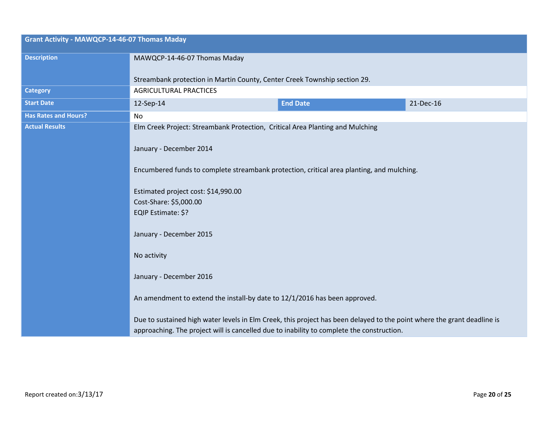| <b>Grant Activity - MAWQCP-14-46-07 Thomas Maday</b> |                                                                                                                         |                 |           |
|------------------------------------------------------|-------------------------------------------------------------------------------------------------------------------------|-----------------|-----------|
| <b>Description</b>                                   | MAWQCP-14-46-07 Thomas Maday                                                                                            |                 |           |
|                                                      | Streambank protection in Martin County, Center Creek Township section 29.                                               |                 |           |
| <b>Category</b>                                      | <b>AGRICULTURAL PRACTICES</b>                                                                                           |                 |           |
| <b>Start Date</b>                                    | 12-Sep-14                                                                                                               | <b>End Date</b> | 21-Dec-16 |
| <b>Has Rates and Hours?</b>                          | No                                                                                                                      |                 |           |
| <b>Actual Results</b>                                | Elm Creek Project: Streambank Protection, Critical Area Planting and Mulching                                           |                 |           |
|                                                      |                                                                                                                         |                 |           |
|                                                      | January - December 2014                                                                                                 |                 |           |
|                                                      | Encumbered funds to complete streambank protection, critical area planting, and mulching.                               |                 |           |
|                                                      |                                                                                                                         |                 |           |
|                                                      | Estimated project cost: \$14,990.00                                                                                     |                 |           |
|                                                      | Cost-Share: \$5,000.00                                                                                                  |                 |           |
|                                                      | EQIP Estimate: \$?                                                                                                      |                 |           |
|                                                      | January - December 2015                                                                                                 |                 |           |
|                                                      |                                                                                                                         |                 |           |
|                                                      | No activity                                                                                                             |                 |           |
|                                                      | January - December 2016                                                                                                 |                 |           |
|                                                      |                                                                                                                         |                 |           |
|                                                      | An amendment to extend the install-by date to 12/1/2016 has been approved.                                              |                 |           |
|                                                      |                                                                                                                         |                 |           |
|                                                      | Due to sustained high water levels in Elm Creek, this project has been delayed to the point where the grant deadline is |                 |           |
|                                                      | approaching. The project will is cancelled due to inability to complete the construction.                               |                 |           |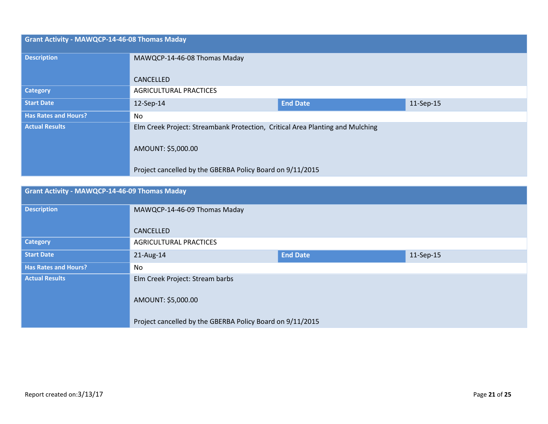| <b>Grant Activity - MAWQCP-14-46-08 Thomas Maday</b> |                                                                                                                                                                  |                 |           |
|------------------------------------------------------|------------------------------------------------------------------------------------------------------------------------------------------------------------------|-----------------|-----------|
| <b>Description</b>                                   | MAWQCP-14-46-08 Thomas Maday                                                                                                                                     |                 |           |
|                                                      | CANCELLED                                                                                                                                                        |                 |           |
| <b>Category</b>                                      | <b>AGRICULTURAL PRACTICES</b>                                                                                                                                    |                 |           |
| <b>Start Date</b>                                    | 12-Sep-14                                                                                                                                                        | <b>End Date</b> | 11-Sep-15 |
| <b>Has Rates and Hours?</b>                          | No.                                                                                                                                                              |                 |           |
| <b>Actual Results</b>                                | Elm Creek Project: Streambank Protection, Critical Area Planting and Mulching<br>AMOUNT: \$5,000.00<br>Project cancelled by the GBERBA Policy Board on 9/11/2015 |                 |           |

| <b>Grant Activity - MAWQCP-14-46-09 Thomas Maday</b> |                                                           |                              |  |  |  |
|------------------------------------------------------|-----------------------------------------------------------|------------------------------|--|--|--|
| <b>Description</b>                                   | MAWQCP-14-46-09 Thomas Maday                              |                              |  |  |  |
|                                                      | CANCELLED                                                 |                              |  |  |  |
| <b>Category</b>                                      | <b>AGRICULTURAL PRACTICES</b>                             |                              |  |  |  |
| <b>Start Date</b>                                    | $21$ -Aug-14                                              | <b>End Date</b><br>11-Sep-15 |  |  |  |
| <b>Has Rates and Hours?</b>                          | No.                                                       |                              |  |  |  |
| <b>Actual Results</b>                                | Elm Creek Project: Stream barbs<br>AMOUNT: \$5,000.00     |                              |  |  |  |
|                                                      | Project cancelled by the GBERBA Policy Board on 9/11/2015 |                              |  |  |  |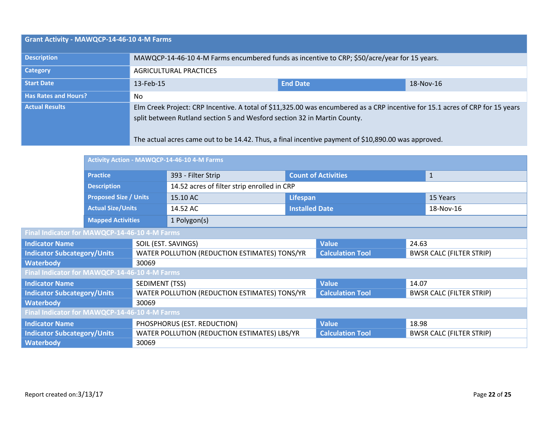| Grant Activity - MAWQCP-14-46-10 4-M Farms |                                                                                                                                                                                                                                                                                                                  |                              |  |  |  |
|--------------------------------------------|------------------------------------------------------------------------------------------------------------------------------------------------------------------------------------------------------------------------------------------------------------------------------------------------------------------|------------------------------|--|--|--|
| <b>Description</b>                         | MAWQCP-14-46-10 4-M Farms encumbered funds as incentive to CRP; \$50/acre/year for 15 years.                                                                                                                                                                                                                     |                              |  |  |  |
| <b>Category</b>                            | <b>AGRICULTURAL PRACTICES</b>                                                                                                                                                                                                                                                                                    |                              |  |  |  |
| Start Date                                 | 13-Feb-15                                                                                                                                                                                                                                                                                                        | <b>End Date</b><br>18-Nov-16 |  |  |  |
| <b>Has Rates and Hours?</b>                | No.                                                                                                                                                                                                                                                                                                              |                              |  |  |  |
| <b>Actual Results</b>                      | Elm Creek Project: CRP Incentive. A total of \$11,325.00 was encumbered as a CRP incentive for 15.1 acres of CRP for 15 years<br>split between Rutland section 5 and Wesford section 32 in Martin County.<br>The actual acres came out to be 14.42. Thus, a final incentive payment of \$10,890.00 was approved. |                              |  |  |  |

|                                               |                                               | Activity Action - MAWQCP-14-46-10 4-M Farms   |                                              |                         |                            |                                 |                                 |
|-----------------------------------------------|-----------------------------------------------|-----------------------------------------------|----------------------------------------------|-------------------------|----------------------------|---------------------------------|---------------------------------|
|                                               | <b>Practice</b>                               |                                               | 393 - Filter Strip                           |                         | <b>Count of Activities</b> |                                 | $\mathbf{1}$                    |
|                                               | <b>Description</b>                            |                                               | 14.52 acres of filter strip enrolled in CRP  |                         |                            |                                 |                                 |
|                                               | <b>Proposed Size / Units</b>                  |                                               | 15.10 AC                                     | Lifespan                |                            | 15 Years                        |                                 |
|                                               | <b>Actual Size/Units</b>                      |                                               | 14.52 AC                                     | <b>Installed Date</b>   |                            |                                 | 18-Nov-16                       |
|                                               | <b>Mapped Activities</b>                      |                                               | 1 Polygon(s)                                 |                         |                            |                                 |                                 |
| Final Indicator for MAWQCP-14-46-10 4-M Farms |                                               |                                               |                                              |                         |                            |                                 |                                 |
| <b>Indicator Name</b>                         |                                               | SOIL (EST. SAVINGS)                           |                                              | <b>Value</b>            | 24.63                      |                                 |                                 |
| <b>Indicator Subcategory/Units</b>            |                                               | WATER POLLUTION (REDUCTION ESTIMATES) TONS/YR |                                              | <b>Calculation Tool</b> |                            | <b>BWSR CALC (FILTER STRIP)</b> |                                 |
| <b>Waterbody</b>                              |                                               | 30069                                         |                                              |                         |                            |                                 |                                 |
|                                               | Final Indicator for MAWQCP-14-46-10 4-M Farms |                                               |                                              |                         |                            |                                 |                                 |
| <b>Indicator Name</b>                         |                                               | SEDIMENT (TSS)                                |                                              |                         | <b>Value</b>               | 14.07                           |                                 |
| <b>Indicator Subcategory/Units</b>            |                                               | WATER POLLUTION (REDUCTION ESTIMATES) TONS/YR |                                              | <b>Calculation Tool</b> |                            | <b>BWSR CALC (FILTER STRIP)</b> |                                 |
| <b>Waterbody</b>                              |                                               | 30069                                         |                                              |                         |                            |                                 |                                 |
| Final Indicator for MAWQCP-14-46-10 4-M Farms |                                               |                                               |                                              |                         |                            |                                 |                                 |
| <b>Indicator Name</b>                         |                                               | PHOSPHORUS (EST. REDUCTION)                   |                                              | <b>Value</b>            | 18.98                      |                                 |                                 |
| <b>Indicator Subcategory/Units</b>            |                                               |                                               | WATER POLLUTION (REDUCTION ESTIMATES) LBS/YR |                         | <b>Calculation Tool</b>    |                                 | <b>BWSR CALC (FILTER STRIP)</b> |
| <b>Waterbody</b>                              |                                               | 30069                                         |                                              |                         |                            |                                 |                                 |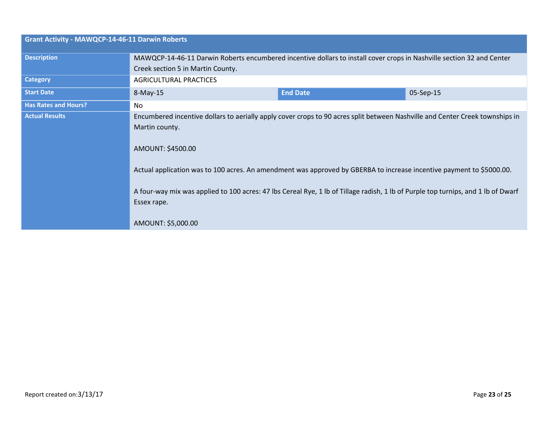| <b>Grant Activity - MAWQCP-14-46-11 Darwin Roberts</b> |                                                                                                                                                  |                 |           |
|--------------------------------------------------------|--------------------------------------------------------------------------------------------------------------------------------------------------|-----------------|-----------|
| <b>Description</b>                                     | MAWQCP-14-46-11 Darwin Roberts encumbered incentive dollars to install cover crops in Nashville section 32 and Center                            |                 |           |
|                                                        | Creek section 5 in Martin County.                                                                                                                |                 |           |
| <b>Category</b>                                        | <b>AGRICULTURAL PRACTICES</b>                                                                                                                    |                 |           |
| <b>Start Date</b>                                      | $8-May-15$                                                                                                                                       | <b>End Date</b> | 05-Sep-15 |
| <b>Has Rates and Hours?</b>                            | No.                                                                                                                                              |                 |           |
| <b>Actual Results</b>                                  | Encumbered incentive dollars to aerially apply cover crops to 90 acres split between Nashville and Center Creek townships in                     |                 |           |
|                                                        | Martin county.                                                                                                                                   |                 |           |
|                                                        | AMOUNT: \$4500.00                                                                                                                                |                 |           |
|                                                        | Actual application was to 100 acres. An amendment was approved by GBERBA to increase incentive payment to \$5000.00.                             |                 |           |
|                                                        | A four-way mix was applied to 100 acres: 47 lbs Cereal Rye, 1 lb of Tillage radish, 1 lb of Purple top turnips, and 1 lb of Dwarf<br>Essex rape. |                 |           |
|                                                        | AMOUNT: \$5,000.00                                                                                                                               |                 |           |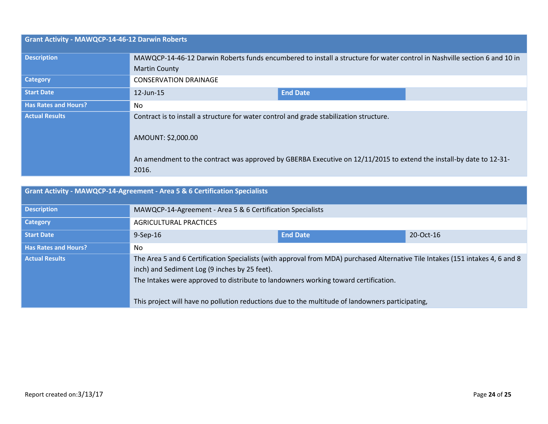| <b>Grant Activity - MAWQCP-14-46-12 Darwin Roberts</b> |                                                                                                                              |                 |  |
|--------------------------------------------------------|------------------------------------------------------------------------------------------------------------------------------|-----------------|--|
| <b>Description</b>                                     | MAWQCP-14-46-12 Darwin Roberts funds encumbered to install a structure for water control in Nashville section 6 and 10 in    |                 |  |
|                                                        | <b>Martin County</b>                                                                                                         |                 |  |
| <b>Category</b>                                        | <b>CONSERVATION DRAINAGE</b>                                                                                                 |                 |  |
| <b>Start Date</b>                                      | $12$ -Jun-15                                                                                                                 | <b>End Date</b> |  |
| <b>Has Rates and Hours?</b>                            | No.                                                                                                                          |                 |  |
| <b>Actual Results</b>                                  | Contract is to install a structure for water control and grade stabilization structure.<br>AMOUNT: \$2,000.00                |                 |  |
|                                                        |                                                                                                                              |                 |  |
|                                                        | An amendment to the contract was approved by GBERBA Executive on 12/11/2015 to extend the install-by date to 12-31-<br>2016. |                 |  |

| <b>Grant Activity - MAWQCP-14-Agreement - Area 5 &amp; 6 Certification Specialists</b> |                                                                                                                                                                                                                                                                                                                                                                            |                                                            |  |  |
|----------------------------------------------------------------------------------------|----------------------------------------------------------------------------------------------------------------------------------------------------------------------------------------------------------------------------------------------------------------------------------------------------------------------------------------------------------------------------|------------------------------------------------------------|--|--|
| <b>Description</b>                                                                     |                                                                                                                                                                                                                                                                                                                                                                            | MAWQCP-14-Agreement - Area 5 & 6 Certification Specialists |  |  |
| <b>Category</b>                                                                        | <b>AGRICULTURAL PRACTICES</b>                                                                                                                                                                                                                                                                                                                                              |                                                            |  |  |
| <b>Start Date</b>                                                                      | <b>End Date</b><br>20-Oct-16<br>$9-$ Sep $-16$                                                                                                                                                                                                                                                                                                                             |                                                            |  |  |
| <b>Has Rates and Hours?</b>                                                            | No.                                                                                                                                                                                                                                                                                                                                                                        |                                                            |  |  |
| <b>Actual Results</b>                                                                  | The Area 5 and 6 Certification Specialists (with approval from MDA) purchased Alternative Tile Intakes (151 intakes 4, 6 and 8<br>inch) and Sediment Log (9 inches by 25 feet).<br>The Intakes were approved to distribute to landowners working toward certification.<br>This project will have no pollution reductions due to the multitude of landowners participating, |                                                            |  |  |